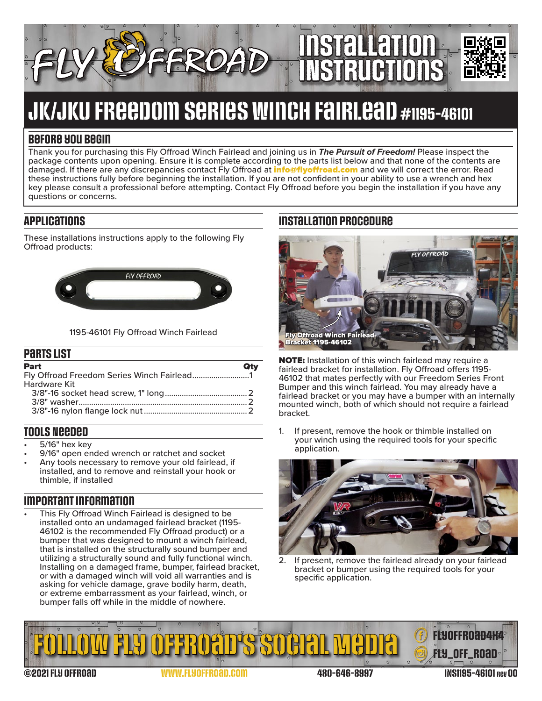

# JK/JKU Freedom Series Winch Fairlead #1195-46101

### **Before you begin**

Thank you for purchasing this Fly Offroad Winch Fairlead and joining us in *The Pursuit of Freedom!* Please inspect the package contents upon opening. Ensure it is complete according to the parts list below and that none of the contents are damaged. If there are any discrepancies contact Fly Offroad at *[info@flyoffroad.com](mailto:info%40flyoffroad.com?subject=Question%20on%20Instructions)* and we will correct the error. Read these instructions fully before beginning the installation. If you are not confident in your ability to use a wrench and hex key please consult a professional before attempting. Contact Fly Offroad before you begin the installation if you have any questions or concerns.

## **Applications**

These installations instructions apply to the following Fly Offroad products:



#### 1195-46101 Fly Offroad Winch Fairlead

#### **Parts List**

| Part                |  |
|---------------------|--|
|                     |  |
| <b>Hardware Kit</b> |  |
|                     |  |
|                     |  |
|                     |  |

#### **Tools Needed**

- 
- 5/16" hex key<br>9/16" open ended wrench or ratchet and socket<br>Any tools necessary to remove your old fairlead, if
- installed, and to remove and reinstall your hook or thimble, if installed

## **Important information**

This Fly Offroad Winch Fairlead is designed to be installed onto an undamaged fairlead bracket (1195- 46102 is the recommended Fly Offroad product) or a bumper that was designed to mount a winch fairlead, that is installed on the structurally sound bumper and utilizing a structurally sound and fully functional winch. Installing on a damaged frame, bumper, fairlead bracket, or with a damaged winch will void all warranties and is asking for vehicle damage, grave bodily harm, death, or extreme embarrassment as your fairlead, winch, or bumper falls off while in the middle of nowhere.

## **Installation procedure**



NOTE: Installation of this winch fairlead may require a fairlead bracket for installation. Fly Offroad offers 1195- 46102 that mates perfectly with our Freedom Series Front Bumper and this winch fairlead. You may already have a fairlead bracket or you may have a bumper with an internally mounted winch, both of which should not require a fairlead bracket.

1. If present, remove the hook or thimble installed on your winch using the required tools for your specific application.



2. If present, remove the fairlead already on your fairlead bracket or bumper using the required tools for your specific application.



©2021 Fly Offroad [www.FlyOffroad.com](https://FlyOffroad.com) 480-646-8997 INS1195-46101 rev 00